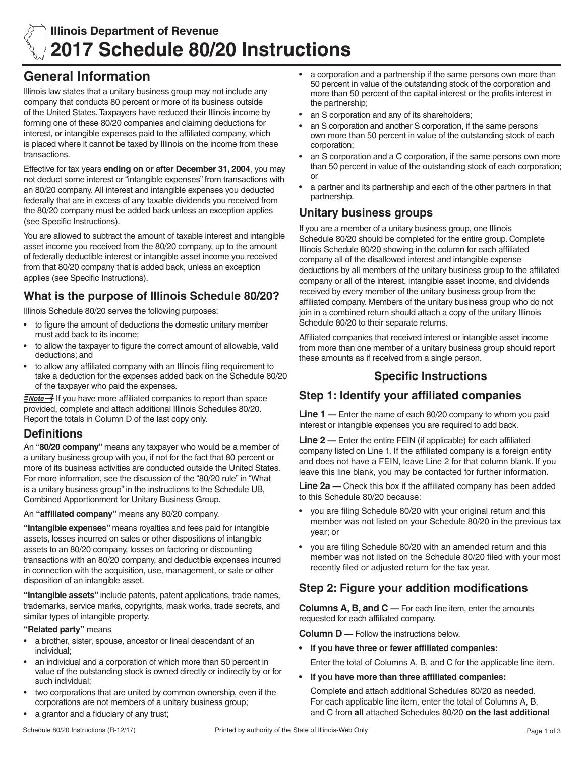

# **General Information**

Illinois law states that a unitary business group may not include any company that conducts 80 percent or more of its business outside of the United States. Taxpayers have reduced their Illinois income by forming one of these 80/20 companies and claiming deductions for interest, or intangible expenses paid to the affiliated company, which is placed where it cannot be taxed by Illinois on the income from these transactions.

Effective for tax years **ending on or after December 31, 2004**, you may not deduct some interest or "intangible expenses" from transactions with an 80/20 company. All interest and intangible expenses you deducted federally that are in excess of any taxable dividends you received from the 80/20 company must be added back unless an exception applies (see Specific Instructions).

You are allowed to subtract the amount of taxable interest and intangible asset income you received from the 80/20 company, up to the amount of federally deductible interest or intangible asset income you received from that 80/20 company that is added back, unless an exception applies (see Specific Instructions).

## **What is the purpose of Illinois Schedule 80/20?**

Illinois Schedule 80/20 serves the following purposes:

- to figure the amount of deductions the domestic unitary member must add back to its income;
- to allow the taxpayer to figure the correct amount of allowable, valid deductions; and
- to allow any affiliated company with an Illinois filing requirement to take a deduction for the expenses added back on the Schedule 80/20 of the taxpayer who paid the expenses.

FNote if you have more affiliated companies to report than space provided, complete and attach additional Illinois Schedules 80/20. Report the totals in Column D of the last copy only.

### **Definitions**

An **"80/20 company"** means any taxpayer who would be a member of a unitary business group with you, if not for the fact that 80 percent or more of its business activities are conducted outside the United States. For more information, see the discussion of the "80/20 rule" in "What is a unitary business group" in the instructions to the Schedule UB, Combined Apportionment for Unitary Business Group.

An **"affiliated company"** means any 80/20 company.

**"Intangible expenses"** means royalties and fees paid for intangible assets, losses incurred on sales or other dispositions of intangible assets to an 80/20 company, losses on factoring or discounting transactions with an 80/20 company, and deductible expenses incurred in connection with the acquisition, use, management, or sale or other disposition of an intangible asset.

**"Intangible assets"** include patents, patent applications, trade names, trademarks, service marks, copyrights, mask works, trade secrets, and similar types of intangible property.

#### **"Related party"** means

- a brother, sister, spouse, ancestor or lineal descendant of an individual;
- an individual and a corporation of which more than 50 percent in value of the outstanding stock is owned directly or indirectly by or for such individual;
- two corporations that are united by common ownership, even if the corporations are not members of a unitary business group;
- a grantor and a fiduciary of any trust;
- an S corporation and any of its shareholders;
- an S corporation and another S corporation, if the same persons own more than 50 percent in value of the outstanding stock of each corporation;
- an S corporation and a C corporation, if the same persons own more than 50 percent in value of the outstanding stock of each corporation; or
- a partner and its partnership and each of the other partners in that partnership.

### **Unitary business groups**

If you are a member of a unitary business group, one Illinois Schedule 80/20 should be completed for the entire group. Complete Illinois Schedule 80/20 showing in the column for each affiliated company all of the disallowed interest and intangible expense deductions by all members of the unitary business group to the affiliated company or all of the interest, intangible asset income, and dividends received by every member of the unitary business group from the affiliated company. Members of the unitary business group who do not join in a combined return should attach a copy of the unitary Illinois Schedule 80/20 to their separate returns.

Affiliated companies that received interest or intangible asset income from more than one member of a unitary business group should report these amounts as if received from a single person.

#### **Specific Instructions**

### **Step 1: Identify your affiliated companies**

**Line 1 —** Enter the name of each 80/20 company to whom you paid interest or intangible expenses you are required to add back.

**Line 2 —** Enter the entire FEIN (if applicable) for each affiliated company listed on Line 1. If the affiliated company is a foreign entity and does not have a FEIN, leave Line 2 for that column blank. If you leave this line blank, you may be contacted for further information.

**Line 2a —** Check this box if the affiliated company has been added to this Schedule 80/20 because:

- you are filing Schedule 80/20 with your original return and this member was not listed on your Schedule 80/20 in the previous tax year; or
- you are filing Schedule 80/20 with an amended return and this member was not listed on the Schedule 80/20 filed with your most recently filed or adjusted return for the tax year.

### **Step 2: Figure your addition modifications**

**Columns A, B, and C —** For each line item, enter the amounts requested for each affiliated company.

**Column D —** Follow the instructions below.

- **• If you have three or fewer affiliated companies:** Enter the total of Columns A, B, and C for the applicable line item.
- **• If you have more than three affiliated companies:**

Complete and attach additional Schedules 80/20 as needed. For each applicable line item, enter the total of Columns A, B, and C from **all** attached Schedules 80/20 **on the last additional**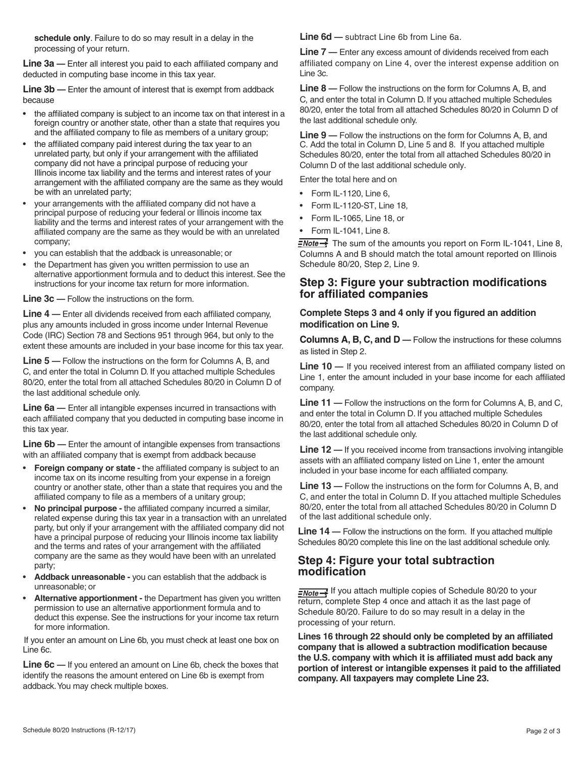**schedule only**. Failure to do so may result in a delay in the processing of your return.

**Line 3a —** Enter all interest you paid to each affiliated company and deducted in computing base income in this tax year.

**Line 3b —** Enter the amount of interest that is exempt from addback because

- the affiliated company is subject to an income tax on that interest in a foreign country or another state, other than a state that requires you and the affiliated company to file as members of a unitary group;
- the affiliated company paid interest during the tax year to an unrelated party, but only if your arrangement with the affiliated company did not have a principal purpose of reducing your Illinois income tax liability and the terms and interest rates of your arrangement with the affiliated company are the same as they would be with an unrelated party;
- your arrangements with the affiliated company did not have a principal purpose of reducing your federal or Illinois income tax liability and the terms and interest rates of your arrangement with the affiliated company are the same as they would be with an unrelated company;
- you can establish that the addback is unreasonable; or
- the Department has given you written permission to use an alternative apportionment formula and to deduct this interest. See the instructions for your income tax return for more information.

**Line 3c —** Follow the instructions on the form.

**Line 4 —** Enter all dividends received from each affiliated company, plus any amounts included in gross income under Internal Revenue Code (IRC) Section 78 and Sections 951 through 964, but only to the extent these amounts are included in your base income for this tax year.

**Line 5 —** Follow the instructions on the form for Columns A, B, and C, and enter the total in Column D. If you attached multiple Schedules 80/20, enter the total from all attached Schedules 80/20 in Column D of the last additional schedule only.

**Line 6a —** Enter all intangible expenses incurred in transactions with each affiliated company that you deducted in computing base income in this tax year.

**Line 6b —** Enter the amount of intangible expenses from transactions with an affiliated company that is exempt from addback because

- **Foreign company or state** the affiliated company is subject to an income tax on its income resulting from your expense in a foreign country or another state, other than a state that requires you and the affiliated company to file as a members of a unitary group;
- **No principal purpose** the affiliated company incurred a similar, related expense during this tax year in a transaction with an unrelated party, but only if your arrangement with the affiliated company did not have a principal purpose of reducing your Illinois income tax liability and the terms and rates of your arrangement with the affiliated company are the same as they would have been with an unrelated party;
- **Addback unreasonable** you can establish that the addback is unreasonable; or
- **Alternative apportionment** the Department has given you written permission to use an alternative apportionment formula and to deduct this expense. See the instructions for your income tax return for more information.

If you enter an amount on Line 6b, you must check at least one box on Line 6c.

**Line 6c —** If you entered an amount on Line 6b, check the boxes that identify the reasons the amount entered on Line 6b is exempt from addback. You may check multiple boxes.

**Line 6d** — subtract Line 6b from Line 6a.

**Line 7 —** Enter any excess amount of dividends received from each affiliated company on Line 4, over the interest expense addition on Line 3c.

**Line 8 —** Follow the instructions on the form for Columns A, B, and C, and enter the total in Column D. If you attached multiple Schedules 80/20, enter the total from all attached Schedules 80/20 in Column D of the last additional schedule only.

**Line 9 —** Follow the instructions on the form for Columns A, B, and C. Add the total in Column D, Line 5 and 8. If you attached multiple Schedules 80/20, enter the total from all attached Schedules 80/20 in Column D of the last additional schedule only.

Enter the total here and on

- Form IL-1120, Line 6,
- Form IL-1120-ST, Line 18,
- Form IL-1065, Line 18, or
- Form IL-1041, Line 8.

 $\frac{7}{2}$  The sum of the amounts you report on Form IL-1041, Line 8, Columns A and B should match the total amount reported on Illinois Schedule 80/20, Step 2, Line 9.

#### **Step 3: Figure your subtraction modifications for affiliated companies**

#### **Complete Steps 3 and 4 only if you figured an addition modification on Line 9.**

**Columns A, B, C, and D —** Follow the instructions for these columns as listed in Step 2.

**Line 10 —** If you received interest from an affiliated company listed on Line 1, enter the amount included in your base income for each affiliated company.

**Line 11 —** Follow the instructions on the form for Columns A, B, and C, and enter the total in Column D. If you attached multiple Schedules 80/20, enter the total from all attached Schedules 80/20 in Column D of the last additional schedule only.

**Line 12** — If you received income from transactions involving intangible assets with an affiliated company listed on Line 1, enter the amount included in your base income for each affiliated company.

**Line 13** — Follow the instructions on the form for Columns A, B, and C, and enter the total in Column D. If you attached multiple Schedules 80/20, enter the total from all attached Schedules 80/20 in Column D of the last additional schedule only.

**Line 14** — Follow the instructions on the form. If you attached multiple Schedules 80/20 complete this line on the last additional schedule only.

#### **Step 4: Figure your total subtraction modification**

**I** *INote* - If you attach multiple copies of Schedule 80/20 to your return, complete Step 4 once and attach it as the last page of Schedule 80/20. Failure to do so may result in a delay in the processing of your return.

**Lines 16 through 22 should only be completed by an affiliated company that is allowed a subtraction modification because the U.S. company with which it is affiliated must add back any portion of interest or intangible expenses it paid to the affiliated company. All taxpayers may complete Line 23.**